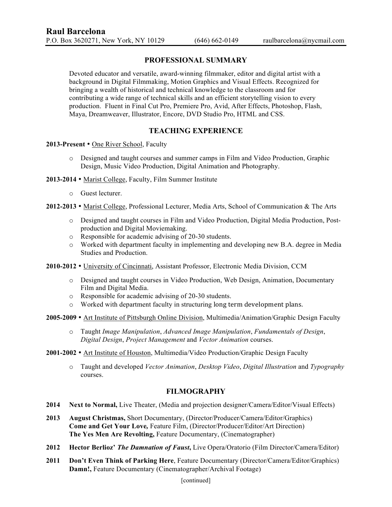## **PROFESSIONAL SUMMARY**

Devoted educator and versatile, award-winning filmmaker, editor and digital artist with a background in Digital Filmmaking, Motion Graphics and Visual Effects. Recognized for bringing a wealth of historical and technical knowledge to the classroom and for contributing a wide range of technical skills and an efficient storytelling vision to every production. Fluent in Final Cut Pro, Premiere Pro, Avid, After Effects, Photoshop, Flash, Maya, Dreamweaver, Illustrator, Encore, DVD Studio Pro, HTML and CSS.

## **TEACHING EXPERIENCE**

#### **2013-Present** • One River School, Faculty

- o Designed and taught courses and summer camps in Film and Video Production, Graphic Design, Music Video Production, Digital Animation and Photography.
- **2013-2014**  Marist College, Faculty, Film Summer Institute
	- o Guest lecturer.
- **2012-2013**  Marist College, Professional Lecturer, Media Arts, School of Communication & The Arts
	- o Designed and taught courses in Film and Video Production, Digital Media Production, Postproduction and Digital Moviemaking.
	- o Responsible for academic advising of 20-30 students.
	- o Worked with department faculty in implementing and developing new B.A. degree in Media Studies and Production.
- **2010-2012**  University of Cincinnati, Assistant Professor, Electronic Media Division, CCM
	- o Designed and taught courses in Video Production, Web Design, Animation, Documentary Film and Digital Media.
	- o Responsible for academic advising of 20-30 students.
	- $\circ$  Worked with department faculty in structuring long term development plans.
- **2005-2009** Art Institute of Pittsburgh Online Division, Multimedia/Animation/Graphic Design Faculty
	- o Taught *Image Manipulation*, *Advanced Image Manipulation*, *Fundamentals of Design*, *Digital Design*, *Project Management* and *Vector Animation* courses.
- **2001-2002** Art Institute of Houston, Multimedia/Video Production/Graphic Design Faculty
	- o Taught and developed *Vector Animation*, *Desktop Video*, *Digital Illustration* and *Typography*  courses.

## **FILMOGRAPHY**

- **2014 Next to Normal,** Live Theater, (Media and projection designer/Camera/Editor/Visual Effects)
- **2013 August Christmas,** Short Documentary, (Director/Producer/Camera/Editor/Graphics) **Come and Get Your Love***,* Feature Film, (Director/Producer/Editor/Art Direction) **The Yes Men Are Revolting,** Feature Documentary, (Cinematographer)
- **2012 Hector Berlioz'** *The Damnation of Faust***,** Live Opera/Oratorio (Film Director/Camera/Editor)
- **2011 Don't Even Think of Parking Here**, Feature Documentary (Director/Camera/Editor/Graphics) **Damn!,** Feature Documentary (Cinematographer/Archival Footage)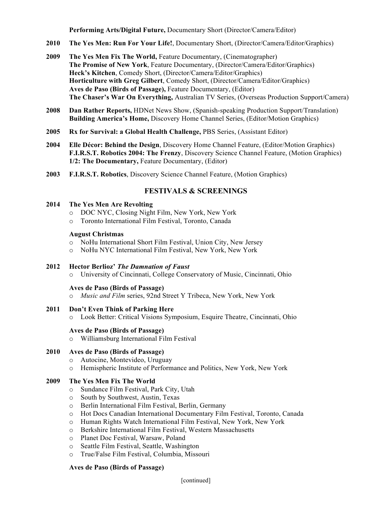**Performing Arts/Digital Future,** Documentary Short (Director/Camera/Editor)

- **2010 The Yes Men: Run For Your Life!**, Documentary Short, (Director/Camera/Editor/Graphics)
- **2009 The Yes Men Fix The World,** Feature Documentary, (Cinematographer) **The Promise of New York**, Feature Documentary, (Director/Camera/Editor/Graphics) **Heck's Kitchen**, Comedy Short, (Director/Camera/Editor/Graphics) **Horticulture with Greg Gilbert**, Comedy Short, (Director/Camera/Editor/Graphics) **Aves de Paso (Birds of Passage),** Feature Documentary, (Editor) **The Chaser's War On Everything,** Australian TV Series, (Overseas Production Support/Camera)
- **2008 Dan Rather Reports,** HDNet News Show, (Spanish-speaking Production Support/Translation) **Building America's Home,** Discovery Home Channel Series, (Editor/Motion Graphics)
- **2005 Rx for Survival: a Global Health Challenge,** PBS Series, (Assistant Editor)
- **2004 Elle Décor: Behind the Design**, Discovery Home Channel Feature, (Editor/Motion Graphics) **F.I.R.S.T. Robotics 2004: The Frenzy**, Discovery Science Channel Feature, (Motion Graphics) **1/2: The Documentary,** Feature Documentary, (Editor)
- **2003 F.I.R.S.T. Robotics**, Discovery Science Channel Feature, (Motion Graphics)

## **FESTIVALS & SCREENINGS**

#### **2014 The Yes Men Are Revolting**

- o DOC NYC, Closing Night Film, New York, New York
- o Toronto International Film Festival, Toronto, Canada

#### **August Christmas**

- o NoHu International Short Film Festival, Union City, New Jersey
- o NoHu NYC International Film Festival, New York, New York

#### **2012 Hector Berlioz'** *The Damnation of Faust*

o University of Cincinnati, College Conservatory of Music, Cincinnati, Ohio

#### **Aves de Paso (Birds of Passage)**

- o *Music and Film* series, 92nd Street Y Tribeca, New York, New York
- **2011 Don't Even Think of Parking Here**
	- o Look Better: Critical Visions Symposium, Esquire Theatre, Cincinnati, Ohio

#### **Aves de Paso (Birds of Passage)**

o Williamsburg International Film Festival

## **2010 Aves de Paso (Birds of Passage)**

- o Autocine, Montevideo, Uruguay
- o Hemispheric Institute of Performance and Politics, New York, New York

## **2009 The Yes Men Fix The World**

- o Sundance Film Festival, Park City, Utah
- o South by Southwest, Austin, Texas
- o Berlin International Film Festival, Berlin, Germany
- o Hot Docs Canadian International Documentary Film Festival, Toronto, Canada
- o Human Rights Watch International Film Festival, New York, New York
- o Berkshire International Film Festival, Western Massachusetts
- o Planet Doc Festival, Warsaw, Poland
- o Seattle Film Festival, Seattle, Washington
- o True/False Film Festival, Columbia, Missouri

### **Aves de Paso (Birds of Passage)**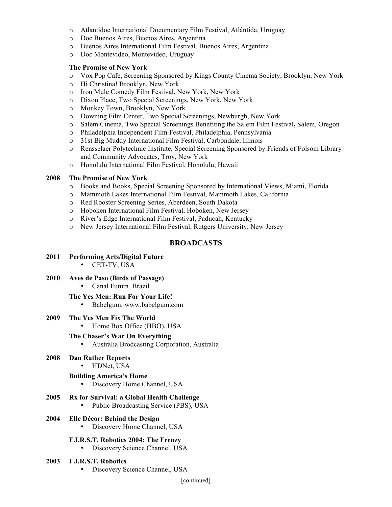- o Atlantidoc International Documentary Film Festival, Atlántida, Uruguay
- o Doc Buenos Aires, Buenos Aires, Argentina
- o Buenos Aires International Film Festival, Buenos Aires, Argentina
- o Doc Montevideo, Montevideo, Uruguay

#### **The Promise of New York**

- o Vox Pop Café, Screening Sponsored by Kings County Cinema Society, Brooklyn, New York
- o Hi Christina! Brooklyn, New York
- o Iron Mule Comedy Film Festival, New York, New York
- o Dixon Place, Two Special Screenings, New York, New York
- o Monkey Town, Brooklyn, New York
- o Downing Film Center, Two Special Screenings, Newburgh, New York
- o Salem Cinema, Two Special Screenings Benefiting the Salem Film Festival**,** Salem, Oregon
- o Philadelphia Independent Film Festival, Philadelphia, Pennsylvania
- o 31st Big Muddy International Film Festival, Carbondale, Illinois
- o Rensselaer Polytechnic Institute, Special Screening Sponsored by Friends of Folsom Library and Community Advocates, Troy, New York
- o Honolulu International Film Festival, Honolulu, Hawaii

#### **2008 The Promise of New York**

- o Books and Books, Special Screening Sponsored by International Views, Miami, Florida
- o Mammoth Lakes International Film Festival, Mammoth Lakes, California
- o Red Rooster Screening Series, Aberdeen, South Dakota
- o Hoboken International Film Festival, Hoboken, New Jersey
- o River's Edge International Film Festival, Paducah, Kentucky
- o New Jersey International Film Festival, Rutgers University, New Jersey

## **BROADCASTS**

## **2011 Performing Arts/Digital Future**

- CET-TV, USA
- **2010 Aves de Paso (Birds of Passage)**
	- Canal Futura, Brazil

#### **The Yes Men: Run For Your Life!**

- Babelgum, www.babelgum.com
- **2009 The Yes Men Fix The World**

• Home Box Office (HBO), USA

## **The Chaser's War On Everything**

• Australia Brodcasting Corporation, Australia

# **2008 Dan Rather Reports**

• HDNet, USA

## **Building America's Home**

- Discovery Home Channel, USA
- **2005 Rx for Survival: a Global Health Challenge**
	- Public Broadcasting Service (PBS), USA

## **2004 Elle Décor: Behind the Design**

• Discovery Home Channel, USA

## **F.I.R.S.T. Robotics 2004: The Frenzy**

• Discovery Science Channel, USA

#### **2003 F.I.R.S.T. Robotics**

• Discovery Science Channel, USA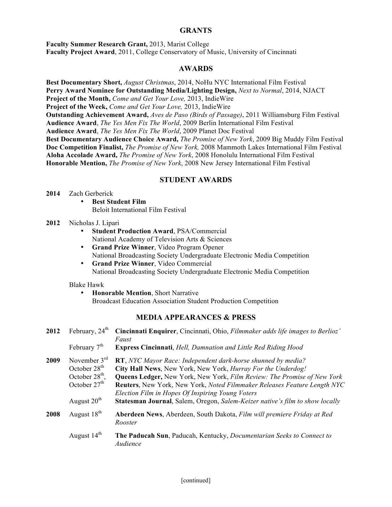## **GRANTS**

**Faculty Summer Research Grant,** 2013, Marist College **Faculty Project Award**, 2011, College Conservatory of Music, University of Cincinnati

## **AWARDS**

**Best Documentary Short,** *August Christmas*, 2014, NoHu NYC International Film Festival **Perry Award Nominee for Outstanding Media/Lighting Design,** *Next to Normal*, 2014, NJACT **Project of the Month,** *Come and Get Your Love,* 2013, IndieWire **Project of the Week,** *Come and Get Your Love,* 2013, IndieWire **Outstanding Achievement Award,** *Aves de Paso (Birds of Passage)*, 2011 Williamsburg Film Festival **Audience Award**, *The Yes Men Fix The World*, 2009 Berlin International Film Festival **Audience Award**, *The Yes Men Fix The World*, 2009 Planet Doc Festival **Best Documentary Audience Choice Award,** *The Promise of New York*, 2009 Big Muddy Film Festival **Doc Competition Finalist,** *The Promise of New York,* 2008 Mammoth Lakes International Film Festival **Aloha Accolade Award,** *The Promise of New York*, 2008 Honolulu International Film Festival **Honorable Mention,** *The Promise of New York*, 2008 New Jersey International Film Festival

## **STUDENT AWARDS**

#### **2014** Zach Gerberick

- **Best Student Film** Beloit International Film Festival
- **2012** Nicholas J. Lipari
	- **Student Production Award**, PSA/Commercial National Academy of Television Arts & Sciences
	- **Grand Prize Winner**, Video Program Opener National Broadcasting Society Undergraduate Electronic Media Competition
	- **Grand Prize Winner**, Video Commercial National Broadcasting Society Undergraduate Electronic Media Competition

#### Blake Hawk

• **Honorable Mention**, Short Narrative Broadcast Education Association Student Production Competition

## **MEDIA APPEARANCES & PRESS**

| 2012 | February, $24th$<br>February $7th$                                        | Cincinnati Enquirer, Cincinnati, Ohio, Filmmaker adds life images to Berlioz'<br>Faust<br><b>Express Cincinnati</b> , Hell, Damnation and Little Red Riding Hood                                                                                                                                                                                       |
|------|---------------------------------------------------------------------------|--------------------------------------------------------------------------------------------------------------------------------------------------------------------------------------------------------------------------------------------------------------------------------------------------------------------------------------------------------|
| 2009 | November $3^{rd}$<br>October $28th$<br>October $28th$ ,<br>October $27th$ | <b>RT</b> , NYC Mayor Race: Independent dark-horse shunned by media?<br>City Hall News, New York, New York, Hurray For the Underdog!<br><b>Queens Ledger, New York, New York, Film Review: The Promise of New York</b><br>Reuters, New York, New York, Noted Filmmaker Releases Feature Length NYC<br>Election Film in Hopes Of Inspiring Young Voters |
| 2008 | August $20th$<br>August $18th$                                            | <b>Statesman Journal</b> , Salem, Oregon, Salem-Keizer native's film to show locally<br>Aberdeen News, Aberdeen, South Dakota, Film will premiere Friday at Red<br>Rooster                                                                                                                                                                             |
|      | August 14 <sup>th</sup>                                                   | The Paducah Sun, Paducah, Kentucky, <i>Documentarian Seeks to Connect to</i><br>Audience                                                                                                                                                                                                                                                               |